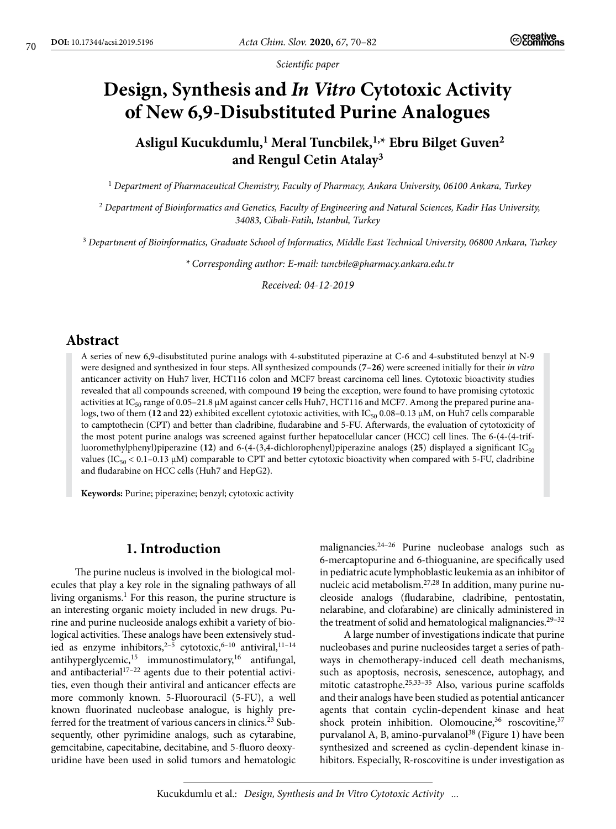*Scientific paper*

# **Design, Synthesis and** *In Vitro* **Cytotoxic Activity of New 6,9-Disubstituted Purine Analogues**

## **Asligul Kucukdumlu,1 Meral Tuncbilek,1,\* Ebru Bilget Guven2 and Rengul Cetin Atalay<sup>3</sup>**

<sup>1</sup> *Department of Pharmaceutical Chemistry, Faculty of Pharmacy, Ankara University, 06100 Ankara, Turkey*

<sup>2</sup> *Department of Bioinformatics and Genetics, Faculty of Engineering and Natural Sciences, Kadir Has University, 34083, Cibali-Fatih, Istanbul, Turkey*

<sup>3</sup> *Department of Bioinformatics, Graduate School of Informatics, Middle East Technical University, 06800 Ankara, Turkey*

*\* Corresponding author: E-mail: [tuncbile@pharmacy.ankara.edu.tr](mailto:tuncbile@pharmacy.ankara.edu.tr)*

*Received: 04-12-2019*

## **Abstract**

A series of new 6,9-disubstituted purine analogs with 4-substituted piperazine at C-6 and 4-substituted benzyl at N-9 were designed and synthesized in four steps. All synthesized compounds (**7**–**26**) were screened initially for their *in vitro* anticancer activity on Huh7 liver, HCT116 colon and MCF7 breast carcinoma cell lines. Cytotoxic bioactivity studies revealed that all compounds screened, with compound **19** being the exception, were found to have promising cytotoxic activities at IC<sub>50</sub> range of 0.05–21.8 μM against cancer cells Huh7, HCT116 and MCF7. Among the prepared purine analogs, two of them (12 and 22) exhibited excellent cytotoxic activities, with IC<sub>50</sub> 0.08–0.13 μM, on Huh7 cells comparable to camptothecin (CPT) and better than cladribine, fludarabine and 5-FU. Afterwards, the evaluation of cytotoxicity of the most potent purine analogs was screened against further hepatocellular cancer (HCC) cell lines. The 6-(4-(4-trifluoromethylphenyl)piperazine (**12**) and 6-(4-(3,4-dichlorophenyl)piperazine analogs (**25**) displayed a significant IC50 values (IC<sub>50</sub> < 0.1–0.13 µM) comparable to CPT and better cytotoxic bioactivity when compared with 5-FU, cladribine and fludarabine on HCC cells (Huh7 and HepG2).

**Keywords:** Purine; piperazine; benzyl; cytotoxic activity

## **1. Introduction**

The purine nucleus is involved in the biological molecules that play a key role in the signaling pathways of all living organisms.<sup>1</sup> For this reason, the purine structure is an interesting organic moiety included in new drugs. Purine and purine nucleoside analogs exhibit a variety of biological activities. These analogs have been extensively studied as enzyme inhibitors,<sup>2-5</sup> cytotoxic,<sup>6-10</sup> antiviral,<sup>11-14</sup> antihyperglycemic, $15$  immunostimulatory, $16$  antifungal, and antibacterial $17-22$  agents due to their potential activities, even though their antiviral and anticancer effects are more commonly known. 5-Fluorouracil (5-FU), a well known fluorinated nucleobase analogue, is highly preferred for the treatment of various cancers in clinics.<sup>23</sup> Subsequently, other pyrimidine analogs, such as cytarabine, gemcitabine, capecitabine, decitabine, and 5-fluoro deoxyuridine have been used in solid tumors and hematologic malignancies.24–26 Purine nucleobase analogs such as 6-mercaptopurine and 6-thioguanine, are specifically used in pediatric acute lymphoblastic leukemia as an inhibitor of nucleic acid metabolism.27,28 In addition, many purine nucleoside analogs (fludarabine, cladribine, pentostatin, nelarabine, and clofarabine) are clinically administered in the treatment of solid and hematological malignancies.<sup>29-32</sup>

A large number of investigations indicate that purine nucleobases and purine nucleosides target a series of pathways in chemotherapy-induced cell death mechanisms, such as apoptosis, necrosis, senescence, autophagy, and mitotic catastrophe.25,33–35 Also, various purine scaffolds and their analogs have been studied as potential anticancer agents that contain cyclin-dependent kinase and heat shock protein inhibition. Olomoucine,<sup>36</sup> roscovitine,<sup>37</sup> purvalanol A, B, amino-purvalanol<sup>38</sup> (Figure 1) have been synthesized and screened as cyclin-dependent kinase inhibitors. Especially, R-roscovitine is under investigation as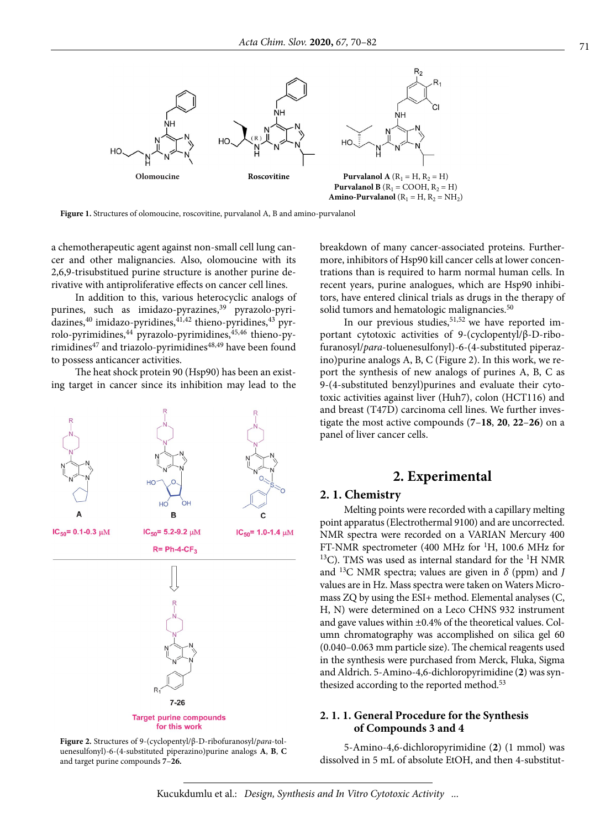

**Figure 1.** Structures of olomoucine, roscovitine, purvalanol A, B and amino-purvalanol

a chemotherapeutic agent against non-small cell lung cancer and other malignancies. Also, olomoucine with its 2,6,9-trisubstitued purine structure is another purine derivative with antiproliferative effects on cancer cell lines.

In addition to this, various heterocyclic analogs of purines, such as imidazo-pyrazines,<sup>39</sup> pyrazolo-pyridazines,<sup>40</sup> imidazo-pyridines, $41,42$  thieno-pyridines, $43$  pyrrolo-pyrimidines,<sup>44</sup> pyrazolo-pyrimidines,<sup>45,46</sup> thieno-pyrimidines<sup>47</sup> and triazolo-pyrimidines<sup>48,49</sup> have been found to possess anticancer activities.

The heat shock protein 90 (Hsp90) has been an existing target in cancer since its inhibition may lead to the



**Figure 2.** Structures of 9-(cyclopentyl/β-D-ribofuranosyl/*para*-toluenesulfonyl)-6-(4-substituted piperazino)purine analogs **A**, **B**, **C** and target purine compounds **7**–**26.**

breakdown of many cancer-associated proteins. Furthermore, inhibitors of Hsp90 kill cancer cells at lower concentrations than is required to harm normal human cells. In recent years, purine analogues, which are Hsp90 inhibitors, have entered clinical trials as drugs in the therapy of solid tumors and hematologic malignancies.<sup>50</sup>

In our previous studies,  $51,52$  we have reported important cytotoxic activities of 9-(cyclopentyl/β-D-ribofuranosyl/*para*-toluenesulfonyl)-6-(4-substituted piperazino)purine analogs A, B, C (Figure 2). In this work, we report the synthesis of new analogs of purines A, B, C as 9-(4-substituted benzyl)purines and evaluate their cytotoxic activities against liver (Huh7), colon (HCT116) and and breast (T47D) carcinoma cell lines. We further investigate the most active compounds (**7**–**18**, **20**, **22**–**26**) on a panel of liver cancer cells.

#### **2. Experimental**

#### **2. 1. Chemistry**

Melting points were recorded with a capillary melting point apparatus (Electrothermal 9100) and are uncorrected. NMR spectra were recorded on a VARIAN Mercury 400 FT-NMR spectrometer (400 MHz for <sup>1</sup>H, 100.6 MHz for  $^{13}$ C). TMS was used as internal standard for the <sup>1</sup>H NMR and 13C NMR spectra; values are given in *δ* (ppm) and *J* values are in Hz. Mass spectra were taken on Waters Micromass ZQ by using the ESI+ method. Elemental analyses (C, H, N) were determined on a Leco CHNS 932 instrument and gave values within ±0.4% of the theoretical values. Column chromatography was accomplished on silica gel 60 (0.040–0.063 mm particle size). The chemical reagents used in the synthesis were purchased from Merck, Fluka, Sigma and Aldrich. 5-Amino-4,6-dichloropyrimidine (**2**) was synthesized according to the reported method.<sup>53</sup>

#### **2. 1. 1. General Procedure for the Synthesis of Compounds 3 and 4**

5-Amino-4,6-dichloropyrimidine (**2**) (1 mmol) was dissolved in 5 mL of absolute EtOH, and then 4-substitut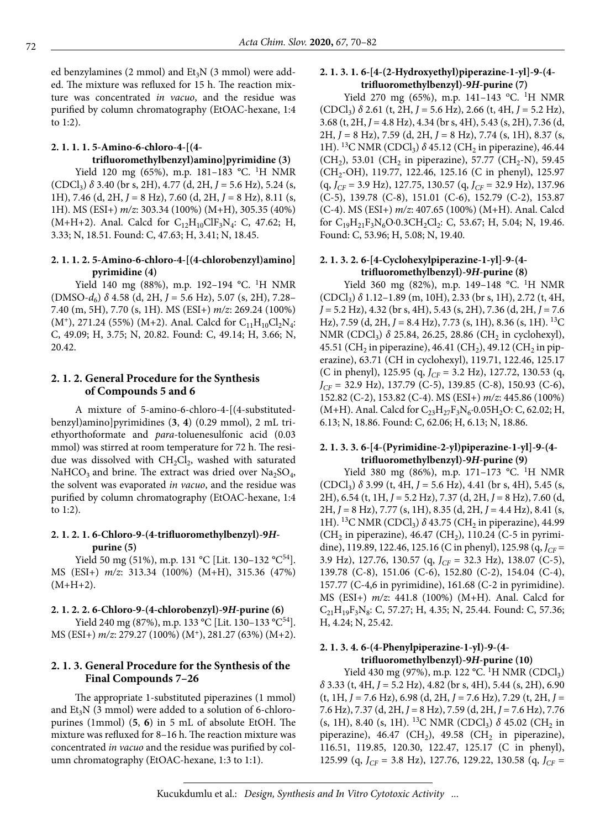ed benzylamines (2 mmol) and  $Et<sub>3</sub>N$  (3 mmol) were added. The mixture was refluxed for 15 h. The reaction mixture was concentrated *in vacuo*, and the residue was purified by column chromatography (EtOAC-hexane, 1:4 to 1:2).

## **2. 1. 1. 1. 5-Amino-6-chloro-4-[(4 trifluoromethylbenzyl)amino]pyrimidine (3)**

Yield 120 mg (65%), m.p. 181-183 °C. <sup>1</sup>H NMR (CDCl3) *δ* 3.40 (br s, 2H), 4.77 (d, 2H, *J* = 5.6 Hz), 5.24 (s, 1H), 7.46 (d, 2H, *J* = 8 Hz), 7.60 (d, 2H, *J* = 8 Hz), 8.11 (s, 1H). MS (ESI+) *m/z*: 303.34 (100%) (M+H), 305.35 (40%) (M+H+2). Anal. Calcd for  $C_{12}H_{10}ClF_3N_4$ : C, 47.62; H, 3.33; N, 18.51. Found: C, 47.63; H, 3.41; N, 18.45.

#### **2. 1. 1. 2. 5-Amino-6-chloro-4-[(4-chlorobenzyl)amino] pyrimidine (4)**

Yield 140 mg (88%), m.p. 192-194 °C. <sup>1</sup>H NMR (DMSO-*d*6) *δ* 4.58 (d, 2H, *J* = 5.6 Hz), 5.07 (s, 2H), 7.28– 7.40 (m, 5H), 7.70 (s, 1H). MS (ESI+) *m/z*: 269.24 (100%)  $(M^*)$ , 271.24 (55%) (M+2). Anal. Calcd for  $C_{11}H_{10}Cl_2N_4$ : C, 49.09; H, 3.75; N, 20.82. Found: C, 49.14; H, 3.66; N, 20.42.

#### **2. 1. 2. General Procedure for the Synthesis of Compounds 5 and 6**

A mixture of 5-amino-6-chloro-4-[(4-substitutedbenzyl)amino]pyrimidines (**3**, **4**) (0.29 mmol), 2 mL triethyorthoformate and *para*-toluenesulfonic acid (0.03 mmol) was stirred at room temperature for 72 h. The residue was dissolved with  $CH_2Cl_2$ , washed with saturated NaHCO<sub>3</sub> and brine. The extract was dried over Na<sub>2</sub>SO<sub>4</sub>, the solvent was evaporated *in vacuo*, and the residue was purified by column chromatography (EtOAC-hexane, 1:4 to 1:2).

#### **2. 1. 2. 1. 6-Chloro-9-(4-trifluoromethylbenzyl)-9***H***purine (5)**

Yield 50 mg (51%), m.p. 131 °C [Lit. 130-132 °C<sup>54</sup>]. MS (ESI+) *m/z*: 313.34 (100%) (M+H), 315.36 (47%)  $(M+H+2)$ .

#### **2. 1. 2. 2. 6-Chloro-9-(4-chlorobenzyl)-9***H***-purine (6)**

Yield 240 mg (87%), m.p. 133 °C [Lit. 130-133 °C<sup>54</sup>]. MS (ESI+) *m/z*: 279.27 (100%) (M+), 281.27 (63%) (M+2).

#### **2. 1. 3. General Procedure for the Synthesis of the Final Compounds 7–26**

The appropriate 1-substituted piperazines (1 mmol) and  $Et<sub>3</sub>N$  (3 mmol) were added to a solution of 6-chloropurines (1mmol) (**5**, **6**) in 5 mL of absolute EtOH. The mixture was refluxed for 8–16 h. The reaction mixture was concentrated *in vacuo* and the residue was purified by column chromatography (EtOAC-hexane, 1:3 to 1:1).

## **2. 1. 3. 1. 6-[4-(2-Hydroxyethyl)piperazine-1-yl]-9-(4 trifluoromethylbenzyl)-9***H***-purine (7)**

Yield 270 mg (65%), m.p. 141-143 °C. <sup>1</sup>H NMR (CDCl3) *δ* 2.61 (t, 2H, *J* = 5.6 Hz), 2.66 (t, 4H, *J* = 5.2 Hz), 3.68 (t, 2H, *J* = 4.8 Hz), 4.34 (br s, 4H), 5.43 (s, 2H), 7.36 (d, 2H, *J* = 8 Hz), 7.59 (d, 2H, *J* = 8 Hz), 7.74 (s, 1H), 8.37 (s, 1H). <sup>13</sup>C NMR (CDCl<sub>3</sub>) δ 45.12 (CH<sub>2</sub> in piperazine), 46.44  $(CH<sub>2</sub>)$ , 53.01 (CH<sub>2</sub> in piperazine), 57.77 (CH<sub>2</sub>-N), 59.45 (CH<sub>2</sub>-OH), 119.77, 122.46, 125.16 (C in phenyl), 125.97  $(q, J_{CF} = 3.9 \text{ Hz})$ , 127.75, 130.57  $(q, J_{CF} = 32.9 \text{ Hz})$ , 137.96 (C-5), 139.78 (C-8), 151.01 (C-6), 152.79 (C-2), 153.87 (C-4). MS (ESI+) *m/z*: 407.65 (100%) (M+H). Anal. Calcd for  $C_{19}H_{21}F_3N_6O \cdot 0.3CH_2Cl_2$ : C, 53.67; H, 5.04; N, 19.46. Found: C, 53.96; H, 5.08; N, 19.40.

#### **2. 1. 3. 2. 6-[4-Cyclohexylpiperazine-1-yl]-9-(4 trifluoromethylbenzyl)-9***H***-purine (8)**

Yield 360 mg (82%), m.p. 149-148 °C. <sup>1</sup>H NMR (CDCl3) *δ* 1.12–1.89 (m, 10H), 2.33 (br s, 1H), 2.72 (t, 4H, *J* = 5.2 Hz), 4.32 (br s, 4H), 5.43 (s, 2H), 7.36 (d, 2H, *J* = 7.6 Hz), 7.59 (d, 2H, *J* = 8.4 Hz), 7.73 (s, 1H), 8.36 (s, 1H). 13C NMR (CDCl<sub>3</sub>) *δ* 25.84, 26.25, 28.86 (CH<sub>2</sub> in cyclohexyl), 45.51 (CH<sub>2</sub> in piperazine), 46.41 (CH<sub>2</sub>), 49.12 (CH<sub>2</sub> in piperazine), 63.71 (CH in cyclohexyl), 119.71, 122.46, 125.17 (C in phenyl), 125.95 (q, *J<sub>CF</sub>* = 3.2 Hz), 127.72, 130.53 (q, *JCF* = 32.9 Hz), 137.79 (C-5), 139.85 (C-8), 150.93 (C-6), 152.82 (C-2), 153.82 (C-4). MS (ESI+) *m/z*: 445.86 (100%) (M+H). Anal. Calcd for  $C_{23}H_{27}F_3N_6.0.05H_2O$ : C, 62.02; H, 6.13; N, 18.86. Found: C, 62.06; H, 6.13; N, 18.86.

#### **2. 1. 3. 3. 6-[4-(Pyrimidine-2-yl)piperazine-1-yl]-9-(4 trifluoromethylbenzyl)-9***H***-purine (9)**

Yield 380 mg (86%), m.p. 171-173 °C. <sup>1</sup>H NMR  $(CDCl<sub>3</sub>)$   $\delta$  3.99 (t, 4H, *J* = 5.6 Hz), 4.41 (br s, 4H), 5.45 (s, 2H), 6.54 (t, 1H, *J* = 5.2 Hz), 7.37 (d, 2H, *J* = 8 Hz), 7.60 (d, 2H, *J* = 8 Hz), 7.77 (s, 1H), 8.35 (d, 2H, *J* = 4.4 Hz), 8.41 (s, 1H). <sup>13</sup>C NMR (CDCl<sub>3</sub>) δ 43.75 (CH<sub>2</sub> in piperazine), 44.99  $(CH<sub>2</sub>$  in piperazine), 46.47 (CH<sub>2</sub>), 110.24 (C-5 in pyrimidine), 119.89, 122.46, 125.16 (C in phenyl), 125.98 (q, *J<sub>CF</sub>* = 3.9 Hz), 127.76, 130.57 (q, *J<sub>CF</sub>* = 32.3 Hz), 138.07 (C-5), 139.78 (C-8), 151.06 (C-6), 152.80 (C-2), 154.04 (C-4), 157.77 (C-4,6 in pyrimidine), 161.68 (C-2 in pyrimidine). MS (ESI+) *m/z*: 441.8 (100%) (M+H). Anal. Calcd for  $C_{21}H_{19}F_3N_8$ : C, 57.27; H, 4.35; N, 25.44. Found: C, 57.36; H, 4.24; N, 25.42.

#### **2. 1. 3. 4. 6-(4-Phenylpiperazine-1-yl)-9-(4 trifluoromethylbenzyl)-9***H***-purine (10)**

Yield 430 mg (97%), m.p. 122 °C. <sup>1</sup>H NMR (CDCl<sub>3</sub>) *δ* 3.33 (t, 4H, *J* = 5.2 Hz), 4.82 (br s, 4H), 5.44 (s, 2H), 6.90 (t, 1H, *J* = 7.6 Hz), 6.98 (d, 2H, *J* = 7.6 Hz), 7.29 (t, 2H, *J* = 7.6 Hz), 7.37 (d, 2H, *J* = 8 Hz), 7.59 (d, 2H, *J* = 7.6 Hz), 7.76 (s, 1H), 8.40 (s, 1H). <sup>13</sup>C NMR (CDCl<sub>3</sub>)  $\delta$  45.02 (CH<sub>2</sub> in piperazine), 46.47 (CH<sub>2</sub>), 49.58 (CH<sub>2</sub> in piperazine), 116.51, 119.85, 120.30, 122.47, 125.17 (C in phenyl), 125.99 (q, *JCF* = 3.8 Hz), 127.76, 129.22, 130.58 (q, *JCF* =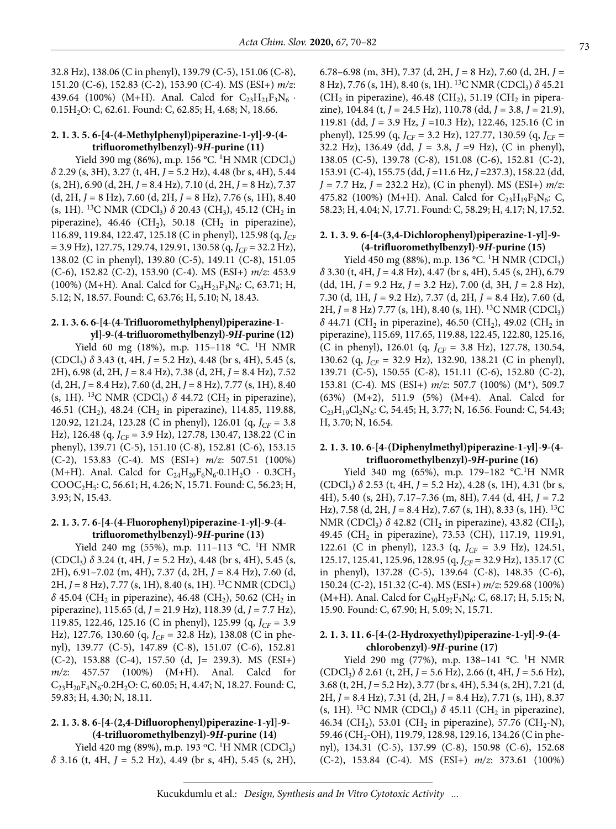32.8 Hz), 138.06 (C in phenyl), 139.79 (C-5), 151.06 (C-8), 151.20 (C-6), 152.83 (C-2), 153.90 (C-4). MS (ESI+) *m/z*: 439.64 (100%) (M+H). Anal. Calcd for  $C_{23}H_{21}F_3N_6$ . 0.15H<sub>2</sub>O: C, 62.61. Found: C, 62.85; H, 4.68; N, 18.66.

#### **2. 1. 3. 5. 6-[4-(4-Methylphenyl)piperazine-1-yl]-9-(4 trifluoromethylbenzyl)-9***H***-purine (11)**

Yield 390 mg (86%), m.p. 156 °C. <sup>1</sup>H NMR (CDCl<sub>3</sub>) *δ* 2.29 (s, 3H), 3.27 (t, 4H, *J* = 5.2 Hz), 4.48 (br s, 4H), 5.44 (s, 2H), 6.90 (d, 2H, *J* = 8.4 Hz), 7.10 (d, 2H, *J* = 8 Hz), 7.37 (d, 2H, *J* = 8 Hz), 7.60 (d, 2H, *J* = 8 Hz), 7.76 (s, 1H), 8.40 (s, 1H). <sup>13</sup>C NMR (CDCl<sub>3</sub>)  $\delta$  20.43 (CH<sub>3</sub>), 45.12 (CH<sub>2</sub> in piperazine), 46.46 (CH<sub>2</sub>), 50.18 (CH<sub>2</sub> in piperazine), 116.89, 119.84, 122.47, 125.18 (C in phenyl), 125.98 (q, *JCF*  $= 3.9$  Hz), 127.75, 129.74, 129.91, 130.58 (q,  $J_{CF} = 32.2$  Hz), 138.02 (C in phenyl), 139.80 (C-5), 149.11 (C-8), 151.05 (C-6), 152.82 (C-2), 153.90 (C-4). MS (ESI+) *m/z*: 453.9 (100%) (M+H). Anal. Calcd for  $C_{24}H_{23}F_3N_6$ : C, 63.71; H, 5.12; N, 18.57. Found: C, 63.76; H, 5.10; N, 18.43.

#### **2. 1. 3. 6. 6-[4-(4-Trifluoromethylphenyl)piperazine-1 yl]-9-(4-trifluoromethylbenzyl)-9***H***-purine (12)**

Yield 60 mg (18%), m.p. 115–118 °C. <sup>1</sup>H NMR (CDCl3) *δ* 3.43 (t, 4H, *J* = 5.2 Hz), 4.48 (br s, 4H), 5.45 (s, 2H), 6.98 (d, 2H, *J* = 8.4 Hz), 7.38 (d, 2H, *J* = 8.4 Hz), 7.52 (d, 2H, *J* = 8.4 Hz), 7.60 (d, 2H, *J* = 8 Hz), 7.77 (s, 1H), 8.40 (s, 1H). <sup>13</sup>C NMR (CDCl<sub>3</sub>)  $\delta$  44.72 (CH<sub>2</sub> in piperazine), 46.51 (CH<sub>2</sub>), 48.24 (CH<sub>2</sub> in piperazine), 114.85, 119.88, 120.92, 121.24, 123.28 (C in phenyl), 126.01 (q, *JCF* = 3.8 Hz), 126.48 (q, *J<sub>CF</sub>* = 3.9 Hz), 127.78, 130.47, 138.22 (C in phenyl), 139.71 (C-5), 151.10 (C-8), 152.81 (C-6), 153.15 (C-2), 153.83 (C-4). MS (ESI+) *m/z*: 507.51 (100%) (M+H). Anal. Calcd for  $C_{24}H_{20}F_6N_6.0.1H_2O \cdot 0.3CH_3$ COOC2H5: C, 56.61; H, 4.26; N, 15.71. Found: C, 56.23; H, 3.93; N, 15.43.

#### **2. 1. 3. 7. 6-[4-(4-Fluorophenyl)piperazine-1-yl]-9-(4 trifluoromethylbenzyl)-9***H***-purine (13)**

Yield 240 mg (55%), m.p. 111-113 °C. <sup>1</sup>H NMR  $(CDCl<sub>3</sub>)$   $\delta$  3.24 (t, 4H, *J* = 5.2 Hz), 4.48 (br s, 4H), 5.45 (s, 2H), 6.91–7.02 (m, 4H), 7.37 (d, 2H, *J* = 8.4 Hz), 7.60 (d, 2H, *J* = 8 Hz), 7.77 (s, 1H), 8.40 (s, 1H). 13C NMR (CDCl3)  $δ$  45.04 (CH<sub>2</sub> in piperazine), 46.48 (CH<sub>2</sub>), 50.62 (CH<sub>2</sub> in piperazine), 115.65 (d, *J* = 21.9 Hz), 118.39 (d, *J* = 7.7 Hz), 119.85, 122.46, 125.16 (C in phenyl), 125.99 (q,  $J_{CF}$  = 3.9 Hz), 127.76, 130.60 (q, *J<sub>CF</sub>* = 32.8 Hz), 138.08 (C in phenyl), 139.77 (C-5), 147.89 (C-8), 151.07 (C-6), 152.81 (C-2), 153.88 (C-4), 157.50 (d, J= 239.3). MS (ESI+) *m/z*: 457.57 (100%) (M+H). Anal. Calcd for  $C_{23}H_{20}F_{4}N_{6}.0.2H_{2}O$ : C, 60.05; H, 4.47; N, 18.27. Found: C, 59.83; H, 4.30; N, 18.11.

#### **2. 1. 3. 8. 6-[4-(2,4-Difluorophenyl)piperazine-1-yl]-9- (4-trifluoromethylbenzyl)-9***H***-purine (14)**

Yield 420 mg (89%), m.p. 193 °C. <sup>1</sup>H NMR (CDCl<sub>3</sub>) *δ* 3.16 (t, 4H, *J* = 5.2 Hz), 4.49 (br s, 4H), 5.45 (s, 2H), 6.78–6.98 (m, 3H), 7.37 (d, 2H, *J* = 8 Hz), 7.60 (d, 2H, *J* = 8 Hz), 7.76 (s, 1H), 8.40 (s, 1H). 13C NMR (CDCl3) *δ* 45.21 (CH<sub>2</sub> in piperazine), 46.48 (CH<sub>2</sub>), 51.19 (CH<sub>2</sub> in piperazine), 104.84 (t, *J* = 24.5 Hz), 110.78 (dd, *J* = 3.8, *J* = 21.9), 119.81 (dd, *J* = 3.9 Hz, *J* =10.3 Hz), 122.46, 125.16 (C in phenyl), 125.99 (q,  $J_{CF}$  = 3.2 Hz), 127.77, 130.59 (q,  $J_{CF}$  = 32.2 Hz), 136.49 (dd, *J* = 3.8, *J* =9 Hz), (C in phenyl), 138.05 (C-5), 139.78 (C-8), 151.08 (C-6), 152.81 (C-2), 153.91 (C-4), 155.75 (dd, *J* =11.6 Hz, *J* =237.3), 158.22 (dd, *J* = 7.7 Hz, *J* = 232.2 Hz), (C in phenyl). MS (ESI+) *m/z*: 475.82 (100%) (M+H). Anal. Calcd for  $C_{23}H_{19}F_5N_6$ : C, 58.23; H, 4.04; N, 17.71. Found: C, 58.29; H, 4.17; N, 17.52.

#### **2. 1. 3. 9. 6-[4-(3,4-Dichlorophenyl)piperazine-1-yl]-9- (4-trifluoromethylbenzyl)-9***H***-purine (15)**

Yield 450 mg (88%), m.p. 136 °C. <sup>1</sup>H NMR (CDCl<sub>3</sub>) *δ* 3.30 (t, 4H, *J* = 4.8 Hz), 4.47 (br s, 4H), 5.45 (s, 2H), 6.79 (dd, 1H, *J* = 9.2 Hz, *J* = 3.2 Hz), 7.00 (d, 3H, *J* = 2.8 Hz), 7.30 (d, 1H, *J* = 9.2 Hz), 7.37 (d, 2H, *J* = 8.4 Hz), 7.60 (d, 2H,  $J = 8$  Hz) 7.77 (s, 1H), 8.40 (s, 1H). <sup>13</sup>C NMR (CDCl<sub>3</sub>)  $δ$  44.71 (CH<sub>2</sub> in piperazine), 46.50 (CH<sub>2</sub>), 49.02 (CH<sub>2</sub> in piperazine), 115.69, 117.65, 119.88, 122.45, 122.80, 125.16, (C in phenyl), 126.01 (q, *J<sub>CF</sub>* = 3.8 Hz), 127.78, 130.54, 130.62 (q, *J<sub>CF</sub>* = 32.9 Hz), 132.90, 138.21 (C in phenyl), 139.71 (C-5), 150.55 (C-8), 151.11 (C-6), 152.80 (C-2), 153.81 (C-4). MS (ESI+) *m/z*: 507.7 (100%) (M+), 509.7 (63%) (M+2), 511.9 (5%) (M+4). Anal. Calcd for  $C_{23}H_{19}Cl_2N_6$ : C, 54.45; H, 3.77; N, 16.56. Found: C, 54.43; H, 3.70; N, 16.54.

#### **2. 1. 3. 10. 6-[4-(Diphenylmethyl)piperazine-1-yl]-9-(4 trifluoromethylbenzyl)-9***H***-purine (16)**

Yield 340 mg (65%), m.p. 179-182 °C.<sup>1</sup>H NMR (CDCl3) *δ* 2.53 (t, 4H, *J* = 5.2 Hz), 4.28 (s, 1H), 4.31 (br s, 4H), 5.40 (s, 2H), 7.17–7.36 (m, 8H), 7.44 (d, 4H, *J* = 7.2 Hz), 7.58 (d, 2H, *J* = 8.4 Hz), 7.67 (s, 1H), 8.33 (s, 1H). 13C NMR (CDCl<sub>3</sub>)  $\delta$  42.82 (CH<sub>2</sub> in piperazine), 43.82 (CH<sub>2</sub>), 49.45 (CH<sub>2</sub> in piperazine), 73.53 (CH), 117.19, 119.91, 122.61 (C in phenyl), 123.3 (q, *J<sub>CF</sub>* = 3.9 Hz), 124.51, 125.17, 125.41, 125.96, 128.95 (q, *J<sub>CF</sub>* = 32.9 Hz), 135.17 (C in phenyl), 137.28 (C-5), 139.64 (C-8), 148.35 (C-6), 150.24 (C-2), 151.32 (C-4). MS (ESI+) *m/z*: 529.68 (100%) (M+H). Anal. Calcd for  $C_{30}H_{27}F_3N_6$ : C, 68.17; H, 5.15; N, 15.90. Found: C, 67.90; H, 5.09; N, 15.71.

#### **2. 1. 3. 11. 6-[4-(2-Hydroxyethyl)piperazine-1-yl]-9-(4 chlorobenzyl)-9***H***-purine (17)**

Yield 290 mg (77%), m.p. 138–141 °C. <sup>1</sup>H NMR (CDCl3) *δ* 2.61 (t, 2H, *J* = 5.6 Hz), 2.66 (t, 4H, *J* = 5.6 Hz), 3.68 (t, 2H, *J* = 5.2 Hz), 3.77 (br s, 4H), 5.34 (s, 2H), 7.21 (d, 2H, *J* = 8.4 Hz), 7.31 (d, 2H, *J* = 8.4 Hz), 7.71 (s, 1H), 8.37 (s, 1H). <sup>13</sup>C NMR (CDCl<sub>3</sub>)  $\delta$  45.11 (CH<sub>2</sub> in piperazine), 46.34 (CH<sub>2</sub>), 53.01 (CH<sub>2</sub> in piperazine), 57.76 (CH<sub>2</sub>-N), 59.46 (CH<sub>2</sub>-OH), 119.79, 128.98, 129.16, 134.26 (C in phenyl), 134.31 (C-5), 137.99 (C-8), 150.98 (C-6), 152.68 (C-2), 153.84 (C-4). MS (ESI+) *m/z*: 373.61 (100%)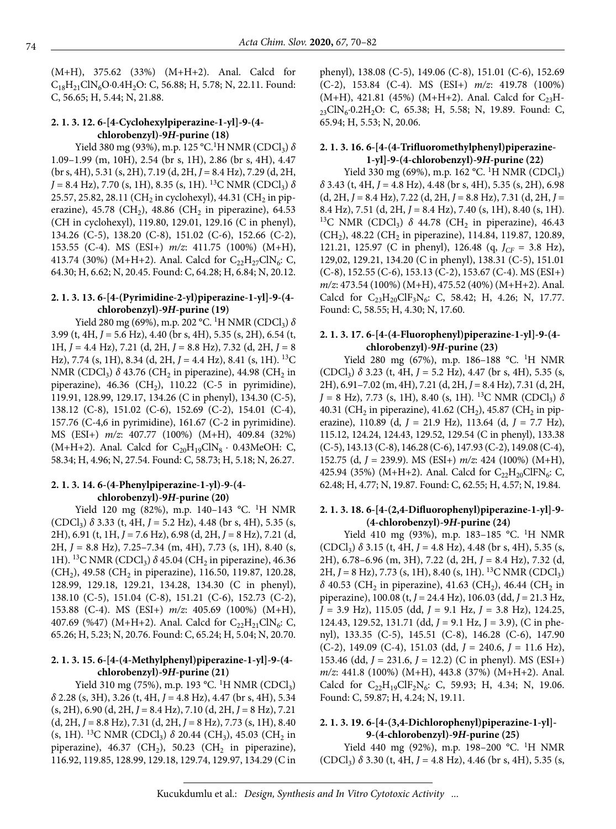(M+H), 375.62 (33%) (M+H+2). Anal. Calcd for  $C_{18}H_{21}CIN_6O \cdot 0.4H_2O$ : C, 56.88; H, 5.78; N, 22.11. Found: C, 56.65; H, 5.44; N, 21.88.

#### **2. 1. 3. 12. 6-[4-Cyclohexylpiperazine-1-yl]-9-(4 chlorobenzyl)-9***H***-purine (18)**

Yield 380 mg (93%), m.p. 125 °C.<sup>1</sup>H NMR (CDCl<sub>3</sub>) δ 1.09–1.99 (m, 10H), 2.54 (br s, 1H), 2.86 (br s, 4H), 4.47 (br s, 4H), 5.31 (s, 2H), 7.19 (d, 2H, *J* = 8.4 Hz), 7.29 (d, 2H,  $J = 8.4$  Hz), 7.70 (s, 1H), 8.35 (s, 1H). <sup>13</sup>C NMR (CDCl<sub>3</sub>)  $\delta$ 25.57, 25.82, 28.11 (CH<sub>2</sub> in cyclohexyl), 44.31 (CH<sub>2</sub> in piperazine), 45.78 (CH<sub>2</sub>), 48.86 (CH<sub>2</sub> in piperazine), 64.53 (CH in cyclohexyl), 119.80, 129.01, 129.16 (C in phenyl), 134.26 (C-5), 138.20 (C-8), 151.02 (C-6), 152.66 (C-2), 153.55 (C-4). MS (ESI+) *m/z*: 411.75 (100%) (M+H), 413.74 (30%) (M+H+2). Anal. Calcd for  $C_{22}H_{27}CIN_6$ : C, 64.30; H, 6.62; N, 20.45. Found: C, 64.28; H, 6.84; N, 20.12.

#### **2. 1. 3. 13. 6-[4-(Pyrimidine-2-yl)piperazine-1-yl]-9-(4 chlorobenzyl)-9***H***-purine (19)**

Yield 280 mg (69%), m.p. 202 °C. <sup>1</sup>H NMR (CDCl<sub>3</sub>) δ 3.99 (t, 4H, *J* = 5.6 Hz), 4.40 (br s, 4H), 5.35 (s, 2H), 6.54 (t, 1H, *J* = 4.4 Hz), 7.21 (d, 2H, *J* = 8.8 Hz), 7.32 (d, 2H, *J* = 8 Hz), 7.74 (s, 1H), 8.34 (d, 2H, *J* = 4.4 Hz), 8.41 (s, 1H). 13C NMR (CDCl<sub>3</sub>)  $\delta$  43.76 (CH<sub>2</sub> in piperazine), 44.98 (CH<sub>2</sub> in piperazine), 46.36 (CH<sub>2</sub>), 110.22 (C-5 in pyrimidine), 119.91, 128.99, 129.17, 134.26 (C in phenyl), 134.30 (C-5), 138.12 (C-8), 151.02 (C-6), 152.69 (C-2), 154.01 (C-4), 157.76 (C-4,6 in pyrimidine), 161.67 (C-2 in pyrimidine). MS (ESI+) *m/z*: 407.77 (100%) (M+H), 409.84 (32%)  $(M+H+2)$ . Anal. Calcd for  $C_{20}H_{19}C/N_8 \cdot 0.43MeOH$ : C, 58.34; H, 4.96; N, 27.54. Found: C, 58.73; H, 5.18; N, 26.27.

#### **2. 1. 3. 14. 6-(4-Phenylpiperazine-1-yl)-9-(4 chlorobenzyl)-9***H***-purine (20)**

Yield 120 mg (82%), m.p. 140-143 °C. <sup>1</sup>H NMR (CDCl3) *δ* 3.33 (t, 4H, *J* = 5.2 Hz), 4.48 (br s, 4H), 5.35 (s, 2H), 6.91 (t, 1H, *J* = 7.6 Hz), 6.98 (d, 2H, *J* = 8 Hz), 7.21 (d, 2H, *J* = 8.8 Hz), 7.25–7.34 (m, 4H), 7.73 (s, 1H), 8.40 (s, 1H). <sup>13</sup>C NMR (CDCl<sub>3</sub>)  $\delta$  45.04 (CH<sub>2</sub> in piperazine), 46.36  $(CH<sub>2</sub>), 49.58 (CH<sub>2</sub> in piperazine), 116.50, 119.87, 120.28,$ 128.99, 129.18, 129.21, 134.28, 134.30 (C in phenyl), 138.10 (C-5), 151.04 (C-8), 151.21 (C-6), 152.73 (C-2), 153.88 (C-4). MS (ESI+) *m/z*: 405.69 (100%) (M+H), 407.69 (%47) (M+H+2). Anal. Calcd for  $C_{22}H_{21}CIN_{6}$ : C, 65.26; H, 5.23; N, 20.76. Found: C, 65.24; H, 5.04; N, 20.70.

#### **2. 1. 3. 15. 6-[4-(4-Methylphenyl)piperazine-1-yl]-9-(4 chlorobenzyl)-9***H***-purine (21)**

Yield 310 mg (75%), m.p. 193 °C. <sup>1</sup>H NMR (CDCl<sub>3</sub>) *δ* 2.28 (s, 3H), 3.26 (t, 4H, *J* = 4.8 Hz), 4.47 (br s, 4H), 5.34 (s, 2H), 6.90 (d, 2H, *J* = 8.4 Hz), 7.10 (d, 2H, *J* = 8 Hz), 7.21 (d, 2H, *J* = 8.8 Hz), 7.31 (d, 2H, *J* = 8 Hz), 7.73 (s, 1H), 8.40 (s, 1H). <sup>13</sup>C NMR (CDCl<sub>3</sub>)  $\delta$  20.44 (CH<sub>3</sub>), 45.03 (CH<sub>2</sub> in piperazine), 46.37 (CH<sub>2</sub>), 50.23 (CH<sub>2</sub> in piperazine), 116.92, 119.85, 128.99, 129.18, 129.74, 129.97, 134.29 (C in phenyl), 138.08 (C-5), 149.06 (C-8), 151.01 (C-6), 152.69 (C-2), 153.84 (C-4). MS (ESI+) *m/z*: 419.78 (100%)  $(M+H)$ , 421.81 (45%) (M+H+2). Anal. Calcd for  $C_{23}H _{23}$ ClN<sub>6</sub>.0.2H<sub>2</sub>O: C, 65.38; H, 5.58; N, 19.89. Found: C, 65.94; H, 5.53; N, 20.06.

#### **2. 1. 3. 16. 6-[4-(4-Trifluoromethylphenyl)piperazine-1-yl]-9-(4-chlorobenzyl)-9***H***-purine (22)**

Yield 330 mg (69%), m.p. 162 °C. <sup>1</sup>H NMR (CDCl<sub>3</sub>) *δ* 3.43 (t, 4H, *J* = 4.8 Hz), 4.48 (br s, 4H), 5.35 (s, 2H), 6.98  $(d, 2H, J = 8.4 Hz)$ , 7.22  $(d, 2H, J = 8.8 Hz)$ , 7.31  $(d, 2H, J = 1.25 dz)$ 8.4 Hz), 7.51 (d, 2H, *J* = 8.4 Hz), 7.40 (s, 1H), 8.40 (s, 1H). <sup>13</sup>C NMR (CDCl<sub>3</sub>)  $\delta$  44.78 (CH<sub>2</sub> in piperazine), 46.43  $(CH<sub>2</sub>), 48.22$  (CH<sub>2</sub> in piperazine), 114.84, 119.87, 120.89, 121.21, 125.97 (C in phenyl), 126.48 (q,  $J_{CF} = 3.8$  Hz), 129,02, 129.21, 134.20 (C in phenyl), 138.31 (C-5), 151.01 (C-8), 152.55 (C-6), 153.13 (C-2), 153.67 (C-4). MS (ESI+) *m/z*: 473.54 (100%) (M+H), 475.52 (40%) (M+H+2). Anal. Calcd for  $C_{23}H_{20}CIF_3N_6$ : C, 58.42; H, 4.26; N, 17.77. Found: C, 58.55; H, 4.30; N, 17.60.

#### **2. 1. 3. 17. 6-[4-(4-Fluorophenyl)piperazine-1-yl]-9-(4 chlorobenzyl)-9***H***-purine (23)**

Yield 280 mg (67%), m.p. 186-188 °C. <sup>1</sup>H NMR  $(CDCl_3)$   $\delta$  3.23 (t, 4H,  $J = 5.2$  Hz), 4.47 (br s, 4H), 5.35 (s, 2H), 6.91–7.02 (m, 4H), 7.21 (d, 2H, *J* = 8.4 Hz), 7.31 (d, 2H,  $J = 8$  Hz), 7.73 (s, 1H), 8.40 (s, 1H). <sup>13</sup>C NMR (CDCl<sub>3</sub>)  $\delta$ 40.31 (CH<sub>2</sub> in piperazine), 41.62 (CH<sub>2</sub>), 45.87 (CH<sub>2</sub> in piperazine), 110.89 (d, *J* = 21.9 Hz), 113.64 (d, *J* = 7.7 Hz), 115.12, 124.24, 124.43, 129.52, 129.54 (C in phenyl), 133.38 (C-5), 143.13 (C-8), 146.28 (C-6), 147.93 (C-2), 149.08 (C-4), 152.75 (d, *J* = 239.9). MS (ESI+) *m/z*: 424 (100%) (M+H), 425.94 (35%) (M+H+2). Anal. Calcd for  $C_{22}H_{20}CIFN_6$ : C, 62.48; H, 4.77; N, 19.87. Found: C, 62.55; H, 4.57; N, 19.84.

#### **2. 1. 3. 18. 6-[4-(2,4-Difluorophenyl)piperazine-1-yl]-9- (4-chlorobenzyl)-9***H***-purine (24)**

Yield 410 mg (93%), m.p. 183-185 °C. <sup>1</sup>H NMR (CDCl3) *δ* 3.15 (t, 4H, *J* = 4.8 Hz), 4.48 (br s, 4H), 5.35 (s, 2H), 6.78–6.96 (m, 3H), 7.22 (d, 2H, *J* = 8.4 Hz), 7.32 (d, 2H, *J* = 8 Hz), 7.73 (s, 1H), 8.40 (s, 1H). <sup>13</sup>C NMR (CDCl<sub>3</sub>)  $δ$  40.53 (CH<sub>2</sub> in piperazine), 41.63 (CH<sub>2</sub>), 46.44 (CH<sub>2</sub> in piperazine), 100.08 (t, *J* = 24.4 Hz), 106.03 (dd, *J* = 21.3 Hz, *J* = 3.9 Hz), 115.05 (dd, *J* = 9.1 Hz, *J* = 3.8 Hz), 124.25, 124.43, 129.52, 131.71 (dd, *J* = 9.1 Hz, J = 3.9), (C in phenyl), 133.35 (C-5), 145.51 (C-8), 146.28 (C-6), 147.90 (C-2), 149.09 (C-4), 151.03 (dd, *J* = 240.6, *J* = 11.6 Hz), 153.46 (dd, *J* = 231.6, *J* = 12.2) (C in phenyl). MS (ESI+) *m/z*: 441.8 (100%) (M+H), 443.8 (37%) (M+H+2). Anal. Calcd for  $C_{22}H_{19}CIF_2N_6$ : C, 59.93; H, 4.34; N, 19.06. Found: C, 59.87; H, 4.24; N, 19.11.

#### **2. 1. 3. 19. 6-[4-(3,4-Dichlorophenyl)piperazine-1-yl]- 9-(4-chlorobenzyl)-9***H***-purine (25)**

Yield 440 mg (92%), m.p. 198-200 °C. <sup>1</sup>H NMR  $(CDCl<sub>3</sub>)$   $\delta$  3.30 (t, 4H, *J* = 4.8 Hz), 4.46 (br s, 4H), 5.35 (s,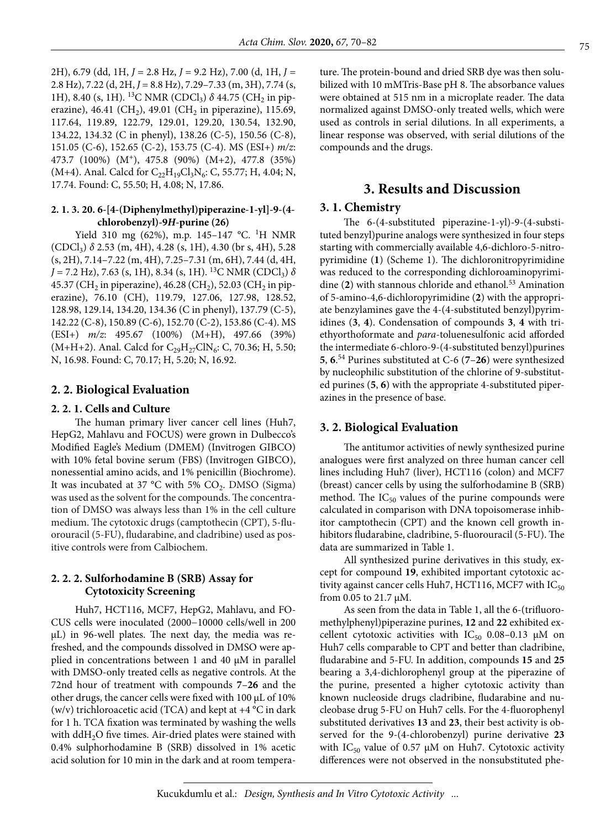2H), 6.79 (dd, 1H, *J* = 2.8 Hz, *J* = 9.2 Hz), 7.00 (d, 1H, *J* = 2.8 Hz), 7.22 (d, 2H, *J* = 8.8 Hz), 7.29–7.33 (m, 3H), 7.74 (s, 1H), 8.40 (s, 1H). <sup>13</sup>C NMR (CDCl<sub>3</sub>) δ 44.75 (CH<sub>2</sub> in piperazine), 46.41 (CH<sub>2</sub>), 49.01 (CH<sub>2</sub> in piperazine), 115.69, 117.64, 119.89, 122.79, 129.01, 129.20, 130.54, 132.90, 134.22, 134.32 (C in phenyl), 138.26 (C-5), 150.56 (C-8), 151.05 (C-6), 152.65 (C-2), 153.75 (C-4). MS (ESI+) *m/z*: 473.7 (100%) (M+), 475.8 (90%) (M+2), 477.8 (35%) (M+4). Anal. Calcd for  $C_{22}H_{19}Cl_3N_6$ : C, 55.77; H, 4.04; N, 17.74. Found: C, 55.50; H, 4.08; N, 17.86.

#### **2. 1. 3. 20. 6-[4-(Diphenylmethyl)piperazine-1-yl]-9-(4 chlorobenzyl)-9***H***-purine (26)**

Yield 310 mg (62%), m.p. 145-147 °C. <sup>1</sup>H NMR (CDCl3) *δ* 2.53 (m, 4H), 4.28 (s, 1H), 4.30 (br s, 4H), 5.28 (s, 2H), 7.14–7.22 (m, 4H), 7.25–7.31 (m, 6H), 7.44 (d, 4H,  $J = 7.2$  Hz), 7.63 (s, 1H), 8.34 (s, 1H). <sup>13</sup>C NMR (CDCl<sub>3</sub>)  $\delta$ 45.37 (CH<sub>2</sub> in piperazine), 46.28 (CH<sub>2</sub>), 52.03 (CH<sub>2</sub> in piperazine), 76.10 (CH), 119.79, 127.06, 127.98, 128.52, 128.98, 129.14, 134.20, 134.36 (C in phenyl), 137.79 (C-5), 142.22 (C-8), 150.89 (C-6), 152.70 (C-2), 153.86 (C-4). MS (ESI+) *m/z*: 495.67 (100%) (M+H), 497.66 (39%) (M+H+2). Anal. Calcd for  $C_{29}H_{27}CIN_6$ : C, 70.36; H, 5.50; N, 16.98. Found: C, 70.17; H, 5.20; N, 16.92.

#### **2. 2. Biological Evaluation**

#### **2. 2. 1. Cells and Culture**

The human primary liver cancer cell lines (Huh7, HepG2, Mahlavu and FOCUS) were grown in Dulbecco's Modified Eagle's Medium (DMEM) (Invitrogen GIBCO) with 10% fetal bovine serum (FBS) (Invitrogen GIBCO), nonessential amino acids, and 1% penicillin (Biochrome). It was incubated at 37  $^{\circ}$ C with 5% CO<sub>2</sub>. DMSO (Sigma) was used as the solvent for the compounds. The concentration of DMSO was always less than 1% in the cell culture medium. The cytotoxic drugs (camptothecin (CPT), 5-fluorouracil (5-FU), fludarabine, and cladribine) used as positive controls were from Calbiochem.

#### **2. 2. 2. Sulforhodamine B (SRB) Assay for Cytotoxicity Screening**

Huh7, HCT116, MCF7, HepG2, Mahlavu, and FO-CUS cells were inoculated (2000−10000 cells/well in 200 μL) in 96-well plates. The next day, the media was refreshed, and the compounds dissolved in DMSO were applied in concentrations between 1 and 40 μM in parallel with DMSO-only treated cells as negative controls. At the 72nd hour of treatment with compounds **7**–**26** and the other drugs, the cancer cells were fixed with 100 μL of 10% (w/v) trichloroacetic acid (TCA) and kept at  $+4$  °C in dark for 1 h. TCA fixation was terminated by washing the wells with  $ddH<sub>2</sub>O$  five times. Air-dried plates were stained with 0.4% sulphorhodamine B (SRB) dissolved in 1% acetic acid solution for 10 min in the dark and at room temperature. The protein-bound and dried SRB dye was then solubilized with 10 mMTris-Base pH 8. The absorbance values were obtained at 515 nm in a microplate reader. The data normalized against DMSO-only treated wells, which were used as controls in serial dilutions. In all experiments, a linear response was observed, with serial dilutions of the compounds and the drugs.

## **3. Results and Discussion**

#### **3. 1. Chemistry**

The 6-(4-substituted piperazine-1-yl)-9-(4-substituted benzyl)purine analogs were synthesized in four steps starting with commercially available 4,6-dichloro-5-nitropyrimidine (**1**) (Scheme 1). The dichloronitropyrimidine was reduced to the corresponding dichloroaminopyrimidine (2) with stannous chloride and ethanol.<sup>53</sup> Amination of 5-amino-4,6-dichloropyrimidine (**2**) with the appropriate benzylamines gave the 4-(4-substituted benzyl)pyrimidines (**3**, **4**). Condensation of compounds **3**, **4** with triethyorthoformate and *para*-toluenesulfonic acid afforded the intermediate 6-chloro-9-(4-substituted benzyl)purines **5**, **6**. 54 Purines substituted at C-6 (**7**–**26**) were synthesized by nucleophilic substitution of the chlorine of 9-substituted purines (**5**, **6**) with the appropriate 4-substituted piperazines in the presence of base.

#### **3. 2. Biological Evaluation**

The antitumor activities of newly synthesized purine analogues were first analyzed on three human cancer cell lines including Huh7 (liver), HCT116 (colon) and MCF7 (breast) cancer cells by using the sulforhodamine B (SRB) method. The  $IC_{50}$  values of the purine compounds were calculated in comparison with DNA topoisomerase inhibitor camptothecin (CPT) and the known cell growth inhibitors fludarabine, cladribine, 5-fluorouracil (5-FU). The data are summarized in Table 1.

All synthesized purine derivatives in this study, except for compound **19**, exhibited important cytotoxic activity against cancer cells Huh7, HCT116, MCF7 with  $IC_{50}$ from 0.05 to 21.7 μM.

As seen from the data in Table 1, all the 6-(trifluoromethylphenyl)piperazine purines, **12** and **22** exhibited excellent cytotoxic activities with  $IC_{50}$  0.08-0.13  $\mu$ M on Huh7 cells comparable to CPT and better than cladribine, fludarabine and 5-FU. In addition, compounds **15** and **25** bearing a 3,4-dichlorophenyl group at the piperazine of the purine, presented a higher cytotoxic activity than known nucleoside drugs cladribine, fludarabine and nucleobase drug 5-FU on Huh7 cells. For the 4-fluorophenyl substituted derivatives **13** and **23**, their best activity is observed for the 9-(4-chlorobenzyl) purine derivative **23** with  $IC_{50}$  value of 0.57  $\mu$ M on Huh7. Cytotoxic activity differences were not observed in the nonsubstituted phe-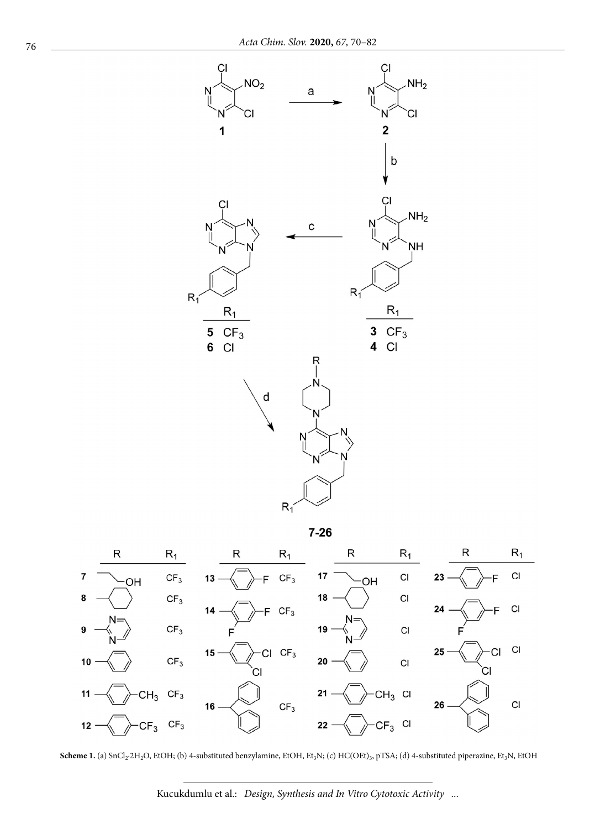

 $7 - 26$ 



Scheme 1. (a) SnCl<sub>2</sub>·2H<sub>2</sub>O, EtOH; (b) 4-substituted benzylamine, EtOH, Et<sub>3</sub>N; (c) HC(OEt)<sub>3</sub>, pTSA; (d) 4-substituted piperazine, Et<sub>3</sub>N, EtOH

Kucukdumlu et al.: *Design, Synthesis and In Vitro Cytotoxic Activity ...*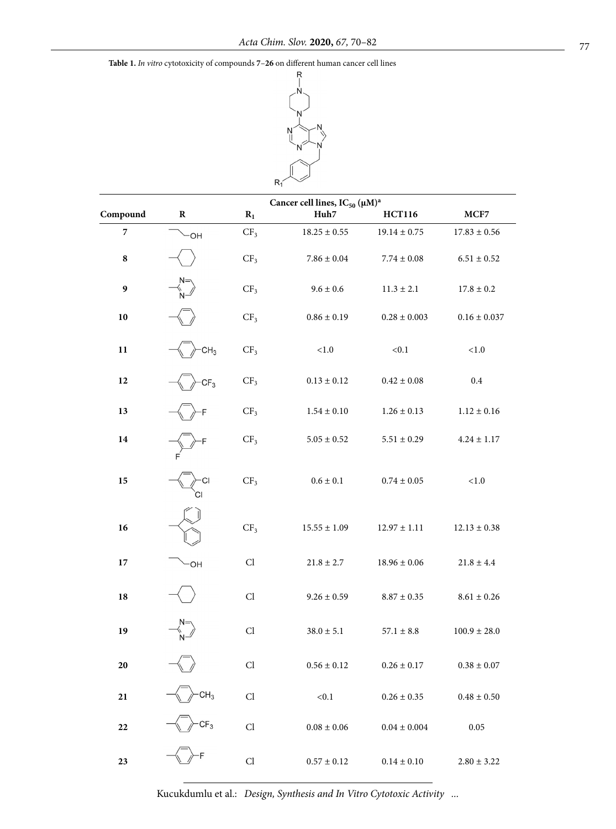**Table 1.** *In vitro* cytotoxicity of compounds **7**–**26** on different human cancer cell lines



| Compound                 | $\mathbf R$     | Cancer cell lines, IC <sub>50</sub> (µM) <sup>a</sup><br>$R_1$<br>Huh7<br><b>HCT116</b> |                  |                  | MCF7             |
|--------------------------|-----------------|-----------------------------------------------------------------------------------------|------------------|------------------|------------------|
| $\overline{\phantom{a}}$ | <b>OH</b>       | CF <sub>3</sub>                                                                         | $18.25 \pm 0.55$ | $19.14 \pm 0.75$ | $17.83 \pm 0.56$ |
| ${\bf 8}$                |                 | CF <sub>3</sub>                                                                         | $7.86 \pm 0.04$  | $7.74\pm0.08$    | $6.51\pm0.52$    |
| 9                        |                 | CF <sub>3</sub>                                                                         | $9.6\pm0.6$      | $11.3 \pm 2.1$   | $17.8 \pm 0.2$   |
| 10                       |                 | CF <sub>3</sub>                                                                         | $0.86\pm0.19$    | $0.28\pm0.003$   | $0.16 \pm 0.037$ |
| 11                       | CH <sub>3</sub> | CF <sub>3</sub>                                                                         | ${<}1.0$         | < 0.1            | $<\!\!1.0$       |
| 12                       | CF <sub>3</sub> | CF <sub>3</sub>                                                                         | $0.13\pm0.12$    | $0.42\pm0.08$    | $0.4\,$          |
| 13                       |                 | CF <sub>3</sub>                                                                         | $1.54\pm0.10$    | $1.26\pm0.13$    | $1.12\pm0.16$    |
| 14                       |                 | CF <sub>3</sub>                                                                         | $5.05 \pm 0.52$  | $5.51 \pm 0.29$  | $4.24 \pm 1.17$  |
| 15                       | СI              | CF <sub>3</sub>                                                                         | $0.6\pm0.1$      | $0.74\pm0.05$    | $<1.0$           |
| 16                       |                 | CF <sub>3</sub>                                                                         | $15.55 \pm 1.09$ | $12.97 \pm 1.11$ | $12.13 \pm 0.38$ |
| 17                       | -OH             | Cl                                                                                      | $21.8 \pm 2.7$   | $18.96\pm0.06$   | $21.8 \pm 4.4$   |
| 18                       |                 | Cl                                                                                      | $9.26\pm0.59$    | $8.87\pm0.35$    | $8.61\pm0.26$    |
| 19                       |                 | Cl                                                                                      | $38.0 \pm 5.1$   | $57.1 \pm 8.8$   | $100.9 \pm 28.0$ |
| 20                       |                 | Cl.                                                                                     | $0.56 \pm 0.12$  | $0.26 \pm 0.17$  | $0.38 \pm 0.07$  |
| 21                       | CH <sub>3</sub> | $\mathop{\rm Cl}\nolimits$                                                              | $<0.1$           | $0.26\pm0.35$    | $0.48\pm0.50$    |
| 22                       | CF <sub>3</sub> | $\mathop{\rm Cl}\nolimits$                                                              | $0.08\pm0.06$    | $0.04\pm0.004$   | $0.05\,$         |
| 23                       |                 | Cl                                                                                      | $0.57\pm0.12$    | $0.14\pm0.10$    | $2.80 \pm 3.22$  |

Kucukdumlu et al.: *Design, Synthesis and In Vitro Cytotoxic Activity ...*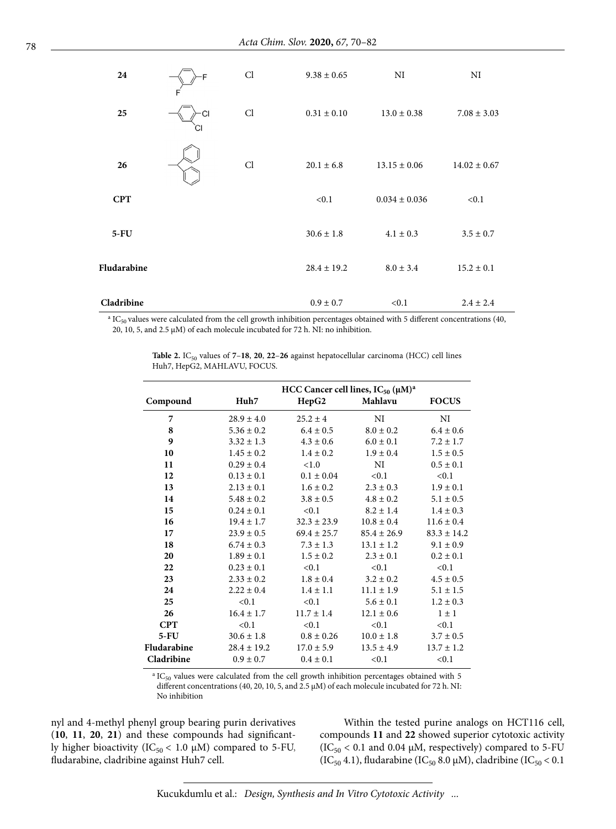| 24          | F               | Cl | $9.38 \pm 0.65$ | NI                | NI               |
|-------------|-----------------|----|-----------------|-------------------|------------------|
| 25          | <b>CI</b><br>СI | Cl | $0.31 \pm 0.10$ | $13.0 \pm 0.38$   | $7.08 \pm 3.03$  |
| 26          |                 | Cl | $20.1 \pm 6.8$  | $13.15 \pm 0.06$  | $14.02 \pm 0.67$ |
| <b>CPT</b>  |                 |    | < 0.1           | $0.034 \pm 0.036$ | < 0.1            |
| $5-FU$      |                 |    | $30.6 \pm 1.8$  | $4.1 \pm 0.3$     | $3.5 \pm 0.7$    |
| Fludarabine |                 |    | $28.4 \pm 19.2$ | $8.0 \pm 3.4$     | $15.2 \pm 0.1$   |
| Cladribine  |                 |    | $0.9 \pm 0.7$   | < 0.1             | $2.4 \pm 2.4$    |

 $a$  IC<sub>50</sub> values were calculated from the cell growth inhibition percentages obtained with 5 different concentrations (40, 20, 10, 5, and 2.5  $\mu$ M) of each molecule incubated for 72 h. NI: no inhibition.

|             | HCC Cancer cell lines, $IC_{50} (\mu M)^a$<br>Mahlavu<br>Huh7 |                 |                 |                 |  |  |  |
|-------------|---------------------------------------------------------------|-----------------|-----------------|-----------------|--|--|--|
| Compound    |                                                               | HepG2           |                 | <b>FOCUS</b>    |  |  |  |
| 7           | $28.9 \pm 4.0$                                                | $25.2 \pm 4$    | NI              | NI              |  |  |  |
| 8           | $5.36 \pm 0.2$                                                | $6.4 \pm 0.5$   | $8.0 \pm 0.2$   | $6.4 \pm 0.6$   |  |  |  |
| 9           | $3.32 \pm 1.3$                                                | $4.3 \pm 0.6$   | $6.0 \pm 0.1$   | $7.2 \pm 1.7$   |  |  |  |
| 10          | $1.45 \pm 0.2$                                                | $1.4 \pm 0.2$   | $1.9 \pm 0.4$   | $1.5 \pm 0.5$   |  |  |  |
| 11          | $0.29 \pm 0.4$                                                | < 1.0           | NI              | $0.5 \pm 0.1$   |  |  |  |
| 12          | $0.13 \pm 0.1$                                                | $0.1 \pm 0.04$  | < 0.1           | < 0.1           |  |  |  |
| 13          | $2.13 \pm 0.1$                                                | $1.6 \pm 0.2$   | $2.3 \pm 0.3$   | $1.9 \pm 0.1$   |  |  |  |
| 14          | $5.48 \pm 0.2$                                                | $3.8 \pm 0.5$   | $4.8 \pm 0.2$   | $5.1 \pm 0.5$   |  |  |  |
| 15          | $0.24 \pm 0.1$                                                | < 0.1           | $8.2 \pm 1.4$   | $1.4 \pm 0.3$   |  |  |  |
| 16          | $19.4 \pm 1.7$                                                | $32.3 \pm 23.9$ | $10.8 \pm 0.4$  | $11.6 \pm 0.4$  |  |  |  |
| 17          | $23.9 \pm 0.5$                                                | $69.4 \pm 25.7$ | $85.4 \pm 26.9$ | $83.3 \pm 14.2$ |  |  |  |
| 18          | $6.74 \pm 0.3$                                                | $7.3 \pm 1.3$   | $13.1 \pm 1.2$  | $9.1 \pm 0.9$   |  |  |  |
| 20          | $1.89 \pm 0.1$                                                | $1.5 \pm 0.2$   | $2.3 \pm 0.1$   | $0.2 \pm 0.1$   |  |  |  |
| 22          | $0.23 \pm 0.1$                                                | < 0.1           | < 0.1           | < 0.1           |  |  |  |
| 23          | $2.33 \pm 0.2$                                                | $1.8 \pm 0.4$   | $3.2 \pm 0.2$   | $4.5 \pm 0.5$   |  |  |  |
| 24          | $2.22 \pm 0.4$                                                | $1.4 \pm 1.1$   | $11.1 \pm 1.9$  | $5.1 \pm 1.5$   |  |  |  |
| 25          | < 0.1                                                         | < 0.1           | $5.6 \pm 0.1$   | $1.2 \pm 0.3$   |  |  |  |
| 26          | $16.4 \pm 1.7$                                                | $11.7 \pm 1.4$  | $12.1 \pm 0.6$  | $1 \pm 1$       |  |  |  |
| <b>CPT</b>  | < 0.1                                                         | < 0.1           | < 0.1           | < 0.1           |  |  |  |
| $5-FU$      | $30.6 \pm 1.8$                                                | $0.8 \pm 0.26$  | $10.0 \pm 1.8$  | $3.7 \pm 0.5$   |  |  |  |
| Fludarabine | $28.4 \pm 19.2$                                               | $17.0 \pm 5.9$  | $13.5 \pm 4.9$  | $13.7 \pm 1.2$  |  |  |  |
| Cladribine  | $0.9 \pm 0.7$                                                 | $0.4 \pm 0.1$   | < 0.1           | < 0.1           |  |  |  |
|             |                                                               |                 |                 |                 |  |  |  |

**Table 2.** IC<sub>50</sub> values of  $7-18$ , **20**, **22-26** against hepatocellular carcinoma (HCC) cell lines Huh7, HepG2, MAHLAVU, FOCUS.

 $\rm{^{a}}$  IC<sub>50</sub> values were calculated from the cell growth inhibition percentages obtained with 5 different concentrations (40, 20, 10, 5, and 2.5 μM) of each molecule incubated for 72 h. NI: No inhibition

nyl and 4-methyl phenyl group bearing purin derivatives (**10**, **11**, **20**, **21**) and these compounds had significantly higher bioactivity (IC<sub>50</sub> < 1.0  $\mu$ M) compared to 5-FU, fludarabine, cladribine against Huh7 cell.

Within the tested purine analogs on HCT116 cell, compounds **11** and **22** showed superior cytotoxic activity (IC<sub>50</sub> < 0.1 and 0.04  $\mu$ M, respectively) compared to 5-FU (IC<sub>50</sub> 4.1), fludarabine (IC<sub>50</sub> 8.0 µM), cladribine (IC<sub>50</sub> < 0.1

Kucukdumlu et al.: *Design, Synthesis and In Vitro Cytotoxic Activity ...*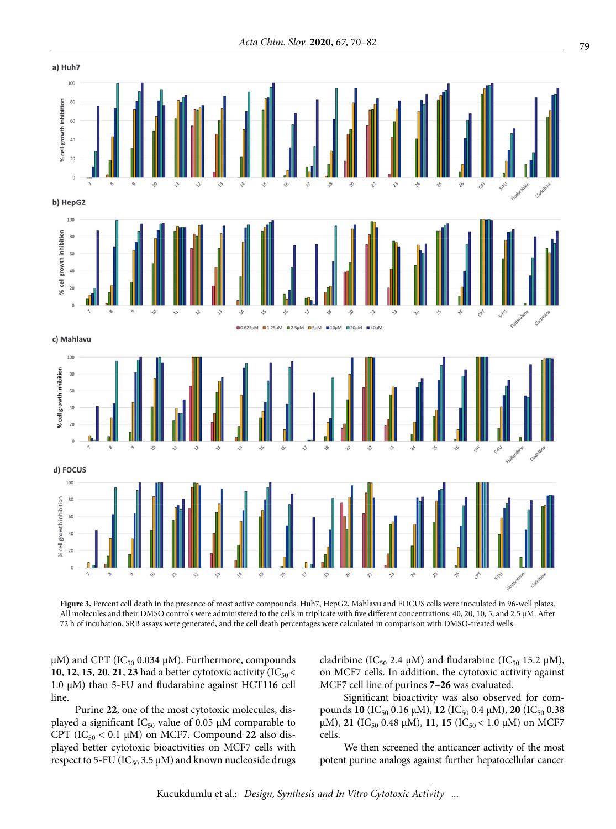

**Figure 3.** Percent cell death in the presence of most active compounds. Huh7, HepG2, Mahlavu and FOCUS cells were inoculated in 96-well plates. All molecules and their DMSO controls were administered to the cells in triplicate with five different concentrations: 40, 20, 10, 5, and 2.5 μM. After 72 h of incubation, SRB assays were generated, and the cell death percentages were calculated in comparison with DMSO-treated wells.

μM) and CPT (IC<sub>50</sub> 0.034 μM). Furthermore, compounds **10**, **12**, **15**, **20**, **21**, **23** had a better cytotoxic activity (IC<sub>50</sub> < 1.0 μM) than 5-FU and fludarabine against HCT116 cell line.

Purine **22**, one of the most cytotoxic molecules, displayed a significant  $IC_{50}$  value of 0.05  $\mu$ M comparable to CPT ( $IC_{50}$  < 0.1  $\mu$ M) on MCF7. Compound 22 also displayed better cytotoxic bioactivities on MCF7 cells with respect to 5-FU ( $IC_{50}$  3.5  $\mu$ M) and known nucleoside drugs cladribine (IC<sub>50</sub> 2.4 μM) and fludarabine (IC<sub>50</sub> 15.2 μM), on MCF7 cells. In addition, the cytotoxic activity against MCF7 cell line of purines **7**–**26** was evaluated.

Significant bioactivity was also observed for compounds **10** (IC<sub>50</sub> 0.16 μM), **12** (IC<sub>50</sub> 0.4 μM), **20** (IC<sub>50</sub> 0.38 μM), **21** (IC<sub>50</sub> 0.48 μM), **11**, **15** (IC<sub>50</sub> < 1.0 μM) on MCF7 cells.

We then screened the anticancer activity of the most potent purine analogs against further hepatocellular cancer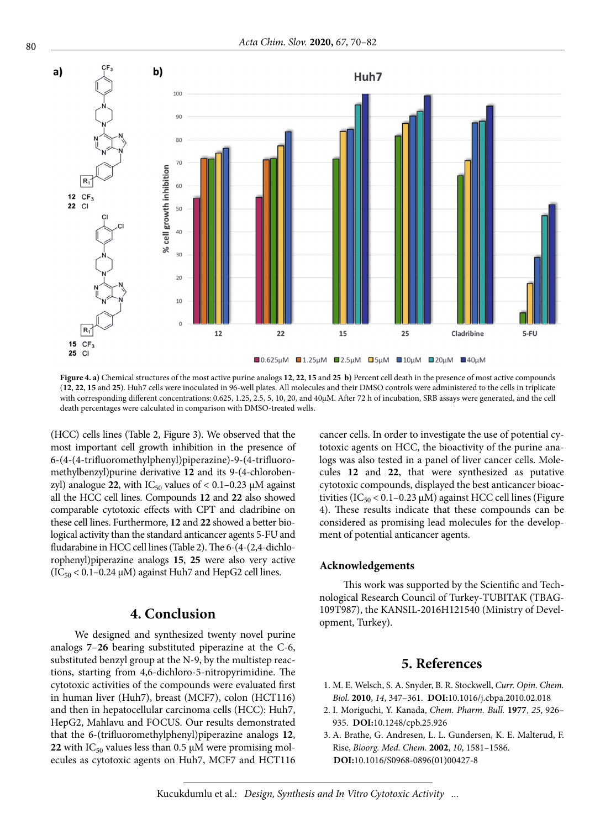

**Figure 4. a)** Chemical structures of the most active purine analogs **12**, **22**, **15** and **25 b)** Percent cell death in the presence of most active compounds (**12**, **22**, **15** and **25**). Huh7 cells were inoculated in 96-well plates. All molecules and their DMSO controls were administered to the cells in triplicate with corresponding different concentrations: 0.625, 1.25, 2.5, 5, 10, 20, and 40μM. After 72 h of incubation, SRB assays were generated, and the cell death percentages were calculated in comparison with DMSO-treated wells.

(HCC) cells lines (Table 2, Figure 3). We observed that the most important cell growth inhibition in the presence of 6-(4-(4-trifluoromethylphenyl)piperazine)-9-(4-trifluoromethylbenzyl)purine derivative **12** and its 9-(4-chlorobenzyl) analogue 22, with  $IC_{50}$  values of  $< 0.1 - 0.23$   $\mu$ M against all the HCC cell lines. Compounds **12** and **22** also showed comparable cytotoxic effects with CPT and cladribine on these cell lines. Furthermore, **12** and **22** showed a better biological activity than the standard anticancer agents 5-FU and fludarabine in HCC cell lines (Table 2). The 6-(4-(2,4-dichlorophenyl)piperazine analogs **15**, **25** were also very active ( $IC_{50}$  < 0.1–0.24  $\mu$ M) against Huh7 and HepG2 cell lines.

## **4. Conclusion**

We designed and synthesized twenty novel purine analogs **7**–**26** bearing substituted piperazine at the C-6, substituted benzyl group at the N-9, by the multistep reactions, starting from 4,6-dichloro-5-nitropyrimidine. The cytotoxic activities of the compounds were evaluated first in human liver (Huh7), breast (MCF7), colon (HCT116) and then in hepatocellular carcinoma cells (HCC): Huh7, HepG2, Mahlavu and FOCUS. Our results demonstrated that the 6-(trifluoromethylphenyl)piperazine analogs **12**, **22** with  $IC_{50}$  values less than 0.5  $\mu$ M were promising molecules as cytotoxic agents on Huh7, MCF7 and HCT116 cancer cells. In order to investigate the use of potential cytotoxic agents on HCC, the bioactivity of the purine analogs was also tested in a panel of liver cancer cells. Molecules **12** and **22**, that were synthesized as putative cytotoxic compounds, displayed the best anticancer bioactivities ( $IC_{50}$  < 0.1–0.23  $\mu$ M) against HCC cell lines (Figure 4). These results indicate that these compounds can be considered as promising lead molecules for the development of potential anticancer agents.

#### **Acknowledgements**

This work was supported by the Scientific and Technological Research Council of Turkey-TUBITAK (TBAG-109T987), the KANSIL-2016H121540 (Ministry of Development, Turkey).

## **5. References**

- 1. M. E. Welsch, S. A. Snyder, B. R. Stockwell, *Curr. Opin. Chem. Biol.* **2010**, *14*, 347–361. **DOI:**[10.1016/j.cbpa.2010.02.018](https://doi.org/10.1016/j.cbpa.2010.02.018)
- 2. I. Moriguchi, Y. Kanada, *Chem. Pharm. Bull.* **1977**, *25*, 926– 935. **DOI:**[10.1248/cpb.25.926](https://doi.org/10.1248/cpb.25.926)
- 3. A. Brathe, G. Andresen, L. L. Gundersen, K. E. Malterud, F. Rise, *Bioorg. Med. Chem.* **2002**, *10*, 1581–1586. **DOI:**[10.1016/S0968-0896\(01\)00427-8](https://doi.org/10.1016/S0968-0896(01)00427-8)

Kucukdumlu et al.: *Design, Synthesis and In Vitro Cytotoxic Activity ...*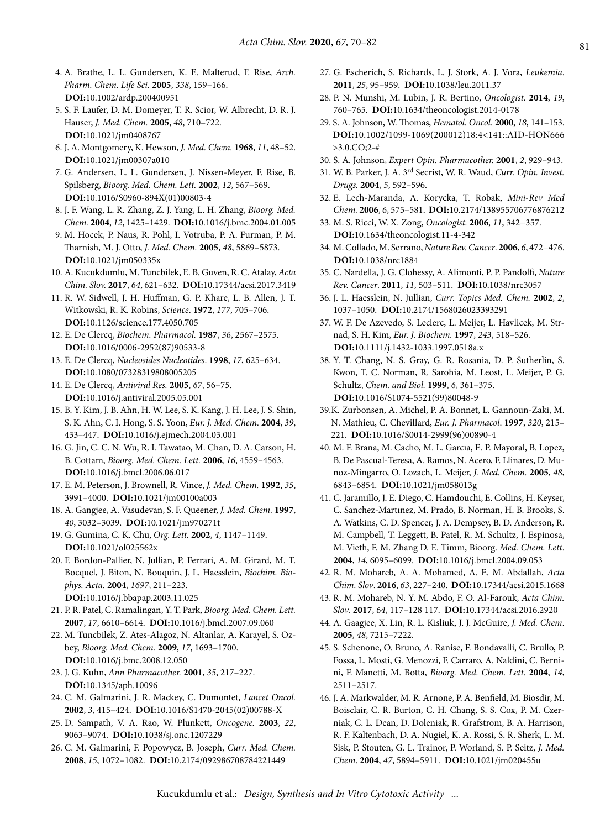- 4. A. Brathe, L. L. Gundersen, K. E. Malterud, F. Rise, *Arch. Pharm. Chem. Life Sci.* **2005**, *338*, 159–166. **DOI:**[10.1002/ardp.200400951](https://doi.org/10.1002/ardp.200400951)
- 5. S. F. Laufer, D. M. Domeyer, T. R. Scior, W. Albrecht, D. R. J. Hauser, *J. Med. Chem.* **2005**, *48*, 710–722. **DOI:**[10.1021/jm0408767](https://doi.org/10.1021/jm0408767)
- 6. J. A. Montgomery, K. Hewson, *J. Med. Chem.* **1968**, *11*, 48–52. **DOI:**[10.1021/jm00307a010](https://doi.org/10.1021/jm00307a010)
- 7. G. Andersen, L. L. Gundersen, J. Nissen-Meyer, F. Rise, B. Spilsberg, *Bioorg. Med. Chem. Lett.* **2002**, *12*, 567–569. **DOI:**[10.1016/S0960-894X\(01\)00803-4](https://doi.org/10.1016/S0960-894X(01)00803-4)
- 8. J. F. Wang, L. R. Zhang, Z. J. Yang, L. H. Zhang, *Bioorg. Med. Chem.* **2004**, *12*, 1425–1429. **DOI:**[10.1016/j.bmc.2004.01.005](https://doi.org/10.1016/j.bmc.2004.01.005)
- 9. M. Hocek, P. Naus, R. Pohl, I. Votruba, P. A. Furman, P. M. Tharnish, M. J. Otto, *J. Med. Chem.* **2005**, *48*, 5869–5873. **DOI:**[10.1021/jm050335x](https://doi.org/10.1021/jm050335x)
- 10. A. Kucukdumlu, M. Tuncbilek, E. B. Guven, R. C. Atalay, *Acta Chim. Slov.* **2017**, *64*, 621–632. **DOI:**[10.17344/acsi.2017.3419](https://doi.org/10.17344/acsi.2017.3419)
- 11. R. W. Sidwell, J. H. Huffman, G. P. Khare, L. B. Allen, J. T. Witkowski, R. K. Robins, *Science*. **1972**, *177*, 705–706. **DOI:**[10.1126/science.177.4050.705](https://doi.org/10.1126/science.177.4050.705)
- 12. E. De Clercq, *Biochem. Pharmacol.* **1987**, *36*, 2567–2575. **DOI:**[10.1016/0006-2952\(87\)90533-8](https://doi.org/10.1016/0006-2952(87)90533-8)
- 13. E. De Clercq, *Nucleosides Nucleotides*. **1998**, *17*, 625–634. **DOI:**[10.1080/07328319808005205](https://doi.org/10.1080/07328319808005205)
- 14. E. De Clercq, *Antiviral Res.* **2005**, *67*, 56–75. **DOI:**[10.1016/j.antiviral.2005.05.001](https://doi.org/10.1016/j.antiviral.2005.05.001)
- 15. B. Y. Kim, J. B. Ahn, H. W. Lee, S. K. Kang, J. H. Lee, J. S. Shin, S. K. Ahn, C. I. Hong, S. S. Yoon, *Eur. J. Med. Chem.* **2004**, *39*, 433–447. **DOI:**[10.1016/j.ejmech.2004.03.001](https://doi.org/10.1016/j.ejmech.2004.03.001)
- 16. G. Jin, C. C. N. Wu, R. I. Tawatao, M. Chan, D. A. Carson, H. B. Cottam, *Bioorg. Med. Chem. Lett.* **2006**, *16*, 4559–4563. **DOI:**[10.1016/j.bmcl.2006.06.017](https://doi.org/10.1016/j.bmcl.2006.06.017)
- 17. E. M. Peterson, J. Brownell, R. Vince, *J. Med. Chem.* **1992**, *35*, 3991–4000. **DOI:**[10.1021/jm00100a003](https://doi.org/10.1021/jm00100a003)
- 18. A. Gangjee, A. Vasudevan, S. F. Queener, *J. Med. Chem.* **1997**, *40*, 3032–3039. **DOI:**[10.1021/jm970271t](https://doi.org/10.1021/jm970271t)
- 19. G. Gumina, C. K. Chu, *Org. Lett.* **2002**, *4*, 1147–1149. **DOI:**[10.1021/ol025562x](https://doi.org/10.1021/ol025562x)
- 20. F. Bordon-Pallier, N. Jullian, P. Ferrari, A. M. Girard, M. T. Bocquel, J. Biton, N. Bouquin, J. L. Haesslein, *Biochim. Biophys. Acta.* **2004**, *1697*, 211–223. **DOI:**[10.1016/j.bbapap.2003.11.025](https://doi.org/10.1016/j.bbapap.2003.11.025)
- 21. P. R. Patel, C. Ramalingan, Y. T. Park, *Bioorg. Med. Chem. Lett.* **2007**, *17*, 6610–6614. **DOI:**[10.1016/j.bmcl.2007.09.060](https://doi.org/10.1016/j.bmcl.2007.09.060)
- 22. M. Tuncbilek, Z. Ates-Alagoz, N. Altanlar, A. Karayel, S. Ozbey, *Bioorg. Med. Chem.* **2009**, *17*, 1693–1700. **DOI:**[10.1016/j.bmc.2008.12.050](https://doi.org/10.1016/j.bmc.2008.12.050)
- 23. J. G. Kuhn, *Ann Pharmacother.* **2001**, *35*, 217–227. **DOI:**[10.1345/aph.10096](https://doi.org/10.1345/aph.10096)
- 24. C. M. Galmarini, J. R. Mackey, C. Dumontet, *Lancet Oncol.* **2002**, *3*, 415–424. **DOI:**[10.1016/S1470-2045\(02\)00788-X](https://doi.org/10.1016/S1470-2045(02)00788-X)
- 25. D. Sampath, V. A. Rao, W. Plunkett, *Oncogene.* **2003**, *22*, 9063–9074. **DOI:**[10.1038/sj.onc.1207229](https://doi.org/10.1038/sj.onc.1207229)
- 26. C. M. Galmarini, F. Popowycz, B. Joseph, *Curr. Med. Chem.* **2008**, *15*, 1072–1082. **DOI:**[10.2174/092986708784221449](https://doi.org/10.2174/092986708784221449)
- 27. G. Escherich, S. Richards, L. J. Stork, A. J. Vora, *Leukemia*. **2011**, *25*, 95–959. **DOI:**[10.1038/leu.2011.37](https://doi.org/10.1038/leu.2011.37)
- 28. P. N. Munshi, M. Lubin, J. R. Bertino, *Oncologist.* **2014**, *19*, 760–765. **DOI:**[10.1634/theoncologist.2014-0178](https://doi.org/10.1634/theoncologist.2014-0178)
- 29. S. A. Johnson, W. Thomas, *Hematol. Oncol.* **2000**, *18*, 141–153. **DOI:**[10.1002/1099-1069\(200012\)18:4<141::AID-HON666](https://doi.org/10.1002/1099-1069(200012)18:4%3C141::AID-HON666%3E3.0.CO;2-)  [>3.0.CO;2-#](https://doi.org/10.1002/1099-1069(200012)18:4%3C141::AID-HON666%3E3.0.CO;2-)
- 30. S. A. Johnson, *Expert Opin. Pharmacother.* **2001**, *2*, 929–943.
- 31. W. B. Parker, J. A. 3rd Secrist, W. R. Waud, *Curr. Opin. Invest. Drugs.* **2004**, *5*, 592–596.
- 32. E. Lech-Maranda, A. Korycka, T. Robak, *Mini-Rev Med Chem.* **2006**, *6*, 575–581. **DOI:**[10.2174/138955706776876212](https://doi.org/10.2174/138955706776876212)
- 33. M. S. Ricci, W. X. Zong, *Oncologist.* **2006**, *11*, 342−357. **DOI:**[10.1634/theoncologist.11-4-342](https://doi.org/10.1634/theoncologist.11-4-342)
- 34. M. Collado, M. Serrano, *Nature Rev. Cancer*. **2006**, *6*, 472−476. **DOI:**[10.1038/nrc1884](https://doi.org/10.1038/nrc1884)
- 35. C. Nardella, J. G. Clohessy, A. Alimonti, P. P. Pandolfi, *Nature Rev. Cancer*. **2011**, *11*, 503–511. **DOI:**[10.1038/nrc3057](https://doi.org/10.1038/nrc3057)
- 36. J. L. Haesslein, N. Jullian, *Curr. Topics Med. Chem.* **2002**, *2*, 1037–1050. **DOI:**[10.2174/1568026023393291](https://doi.org/10.2174/1568026023393291)
- 37. W. F. De Azevedo, S. Leclerc, L. Meijer, L. Havlicek, M. Strnad, S. H. Kim, *Eur. J. Biochem.* **1997**, *243*, 518–526. **DOI:**[10.1111/j.1432-1033.1997.0518a.x](https://doi.org/10.1111/j.1432-1033.1997.0518a.x)
- 38. Y. T. Chang, N. S. Gray, G. R. Rosania, D. P. Sutherlin, S. Kwon, T. C. Norman, R. Sarohia, M. Leost, L. Meijer, P. G. Schultz, *Chem. and Biol.* **1999**, *6*, 361–375. **DOI:**[10.1016/S1074-5521\(99\)80048-9](https://doi.org/10.1016/S1074-5521(99)80048-9)
- 39.K. Zurbonsen, A. Michel, P. A. Bonnet, L. Gannoun-Zaki, M. N. Mathieu, C. Chevillard, *Eur. J. Pharmacol*. **1997**, *320*, 215– 221. **DOI:**[10.1016/S0014-2999\(96\)00890-4](https://doi.org/10.1016/S0014-2999(96)00890-4)
- 40. M. F. Brana, M. Cacho, M. L. Garcıa, E. P. Mayoral, B. Lopez, B. De Pascual-Teresa, A. Ramos, N. Acero, F. Llinares, D. Munoz-Mingarro, O. Lozach, L. Meijer, *J. Med. Chem.* **2005**, *48*, 6843–6854. **DOI:**[10.1021/jm058013g](https://doi.org/10.1021/jm058013g)
- 41. C. Jaramillo, J. E. Diego, C. Hamdouchi, E. Collins, H. Keyser, C. Sanchez-Martınez, M. Prado, B. Norman, H. B. Brooks, S. A. Watkins, C. D. Spencer, J. A. Dempsey, B. D. Anderson, R. M. Campbell, T. Leggett, B. Patel, R. M. Schultz, J. Espinosa, M. Vieth, F. M. Zhang D. E. Timm, Bioorg. *Med. Chem. Lett*. **2004**, *14*, 6095–6099. **DOI:**[10.1016/j.bmcl.2004.09.053](https://doi.org/10.1016/j.bmcl.2004.09.053)
- 42. R. M. Mohareb, A. A. Mohamed, A. E. M. Abdallah, *Acta Chim. Slov*. **2016**, *63*, 227–240. **DOI:**[10.17344/acsi.2015.1668](https://doi.org/10.17344/acsi.2015.1668)
- 43. R. M. Mohareb, N. Y. M. Abdo, F. O. Al-Farouk, *Acta Chim. Slov*. **2017**, *64*, 117–128 117. **DOI:**[10.17344/acsi.2016.2920](https://doi.org/10.17344/acsi.2016.2920)
- 44. A. Gaagjee, X. Lin, R. L. Kisliuk, J. J. McGuire, *J. Med. Chem*. **2005**, *48*, 7215–7222.
- 45. S. Schenone, O. Bruno, A. Ranise, F. Bondavalli, C. Brullo, P. Fossa, L. Mosti, G. Menozzi, F. Carraro, A. Naldini, C. Bernini, F. Manetti, M. Botta, *Bioorg. Med. Chem. Lett.* **2004**, *14*, 2511–2517.
- 46. J. A. Markwalder, M. R. Arnone, P. A. Benfield, M. Biosdir, M. Boisclair, C. R. Burton, C. H. Chang, S. S. Cox, P. M. Czerniak, C. L. Dean, D. Doleniak, R. Grafstrom, B. A. Harrison, R. F. Kaltenbach, D. A. Nugiel, K. A. Rossi, S. R. Sherk, L. M. Sisk, P. Stouten, G. L. Trainor, P. Worland, S. P. Seitz, *J. Med. Chem*. **2004**, *47*, 5894–5911. **DOI:**[10.1021/jm020455u](https://doi.org/10.1021/jm020455u)